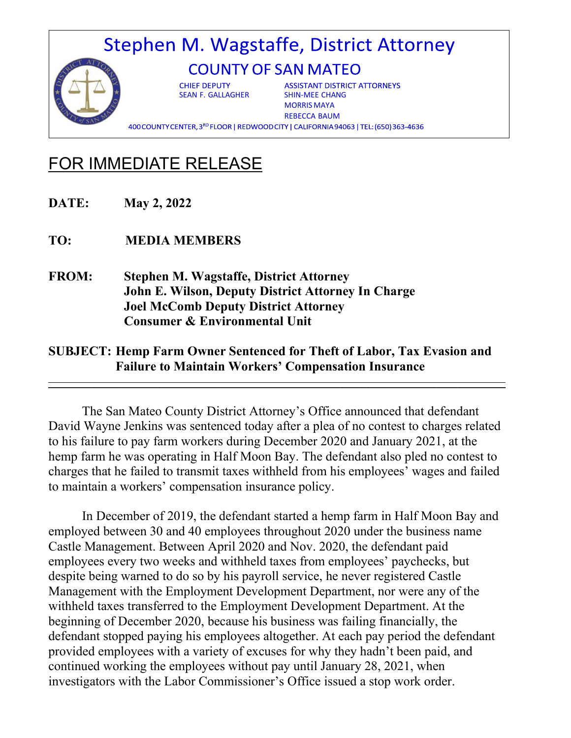## Stephen M. Wagstaffe, District Attorney **COUNTY OF SAN MATEO**

**CHIEF DEPUTY** SEAN F. GALLAGHER SHIN-MEE CHANG

**ASSISTANT DISTRICT ATTORNEYS** MORRIS MAYA REBECCA BAUM

400 COUNTY CENTER, 3RD FLOOR | REDWOOD CITY | CALIFORNIA 94063 | TEL: (650) 363-4636

## FOR IMMEDIATE RELEASE

**DATE: May 2, 2022**

**TO: MEDIA MEMBERS**

**FROM: Stephen M. Wagstaffe, District Attorney John E. Wilson, Deputy District Attorney In Charge Joel McComb Deputy District Attorney Consumer & Environmental Unit** 

## **SUBJECT: Hemp Farm Owner Sentenced for Theft of Labor, Tax Evasion and Failure to Maintain Workers' Compensation Insurance**

**\_\_\_\_\_\_\_\_\_\_\_\_\_\_\_\_\_\_\_\_\_\_\_\_\_\_\_\_\_\_\_\_\_\_\_\_\_\_\_\_\_\_\_\_\_\_\_\_\_\_\_\_\_\_\_\_\_\_\_\_\_\_\_\_\_\_\_\_\_\_**

The San Mateo County District Attorney's Office announced that defendant David Wayne Jenkins was sentenced today after a plea of no contest to charges related to his failure to pay farm workers during December 2020 and January 2021, at the hemp farm he was operating in Half Moon Bay. The defendant also pled no contest to charges that he failed to transmit taxes withheld from his employees' wages and failed to maintain a workers' compensation insurance policy.

In December of 2019, the defendant started a hemp farm in Half Moon Bay and employed between 30 and 40 employees throughout 2020 under the business name Castle Management. Between April 2020 and Nov. 2020, the defendant paid employees every two weeks and withheld taxes from employees' paychecks, but despite being warned to do so by his payroll service, he never registered Castle Management with the Employment Development Department, nor were any of the withheld taxes transferred to the Employment Development Department. At the beginning of December 2020, because his business was failing financially, the defendant stopped paying his employees altogether. At each pay period the defendant provided employees with a variety of excuses for why they hadn't been paid, and continued working the employees without pay until January 28, 2021, when investigators with the Labor Commissioner's Office issued a stop work order.